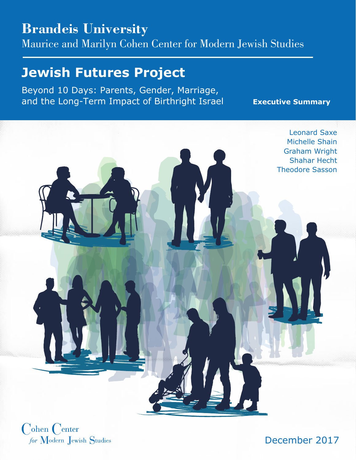## **Brandeis University**

Maurice and Marilyn Cohen Center for Modern Jewish Studies

## **Jewish Futures Project**

Beyond 10 Days: Parents, Gender, Marriage, and the Long-Term Impact of Birthright Israel **Executive Summary**



 $\bigcirc$ ohen  $\bigcirc$ enter for Modern Jewish Studies

December 2017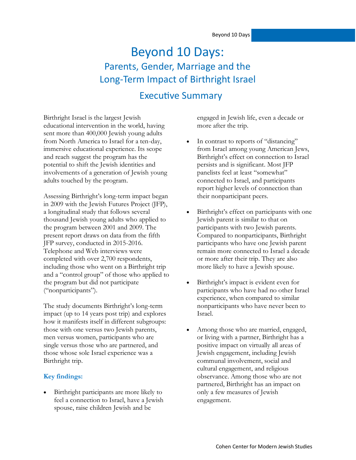## Executive Summary Beyond 10 Days: Parents, Gender, Marriage and the Long-Term Impact of Birthright Israel

Birthright Israel is the largest Jewish educational intervention in the world, having sent more than 400,000 Jewish young adults from North America to Israel for a ten-day, immersive educational experience. Its scope and reach suggest the program has the potential to shift the Jewish identities and involvements of a generation of Jewish young adults touched by the program.

Assessing Birthright's long-term impact began in 2009 with the Jewish Futures Project (JFP), a longitudinal study that follows several thousand Jewish young adults who applied to the program between 2001 and 2009. The present report draws on data from the fifth JFP survey, conducted in 2015-2016. Telephone and Web interviews were completed with over 2,700 respondents, including those who went on a Birthright trip and a "control group" of those who applied to the program but did not participate ("nonparticipants").

The study documents Birthright's long-term impact (up to 14 years post trip) and explores how it manifests itself in different subgroups: those with one versus two Jewish parents, men versus women, participants who are single versus those who are partnered, and those whose sole Israel experience was a Birthright trip.

## **Key findings:**

 Birthright participants are more likely to feel a connection to Israel, have a Jewish spouse, raise children Jewish and be

engaged in Jewish life, even a decade or more after the trip.

- In contrast to reports of "distancing" from Israel among young American Jews, Birthright's effect on connection to Israel persists and is significant. Most JFP panelists feel at least "somewhat" connected to Israel, and participants report higher levels of connection than their nonparticipant peers.
- Birthright's effect on participants with one Jewish parent is similar to that on participants with two Jewish parents. Compared to nonparticipants, Birthright participants who have one Jewish parent remain more connected to Israel a decade or more after their trip. They are also more likely to have a Jewish spouse.
- Birthright's impact is evident even for participants who have had no other Israel experience, when compared to similar nonparticipants who have never been to Israel.
- Among those who are married, engaged, or living with a partner, Birthright has a positive impact on virtually all areas of Jewish engagement, including Jewish communal involvement, social and cultural engagement, and religious observance. Among those who are not partnered, Birthright has an impact on only a few measures of Jewish engagement.